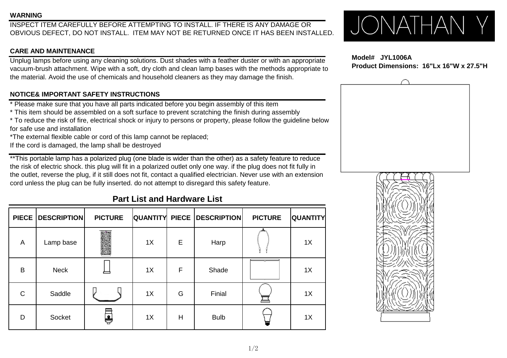### **WARNING**

INSPECT ITEM CAREFULLY BEFORE ATTEMPTING TO INSTALL. IF THERE IS ANY DAMAGE OR OBVIOUS DEFECT, DO NOT INSTALL. ITEM MAY NOT BE RETURNED ONCE IT HAS BEEN INSTALLED.

### **CARE AND MAINTENANCE**

Unplug lamps before using any cleaning solutions. Dust shades with a feather duster or with an appropriate vacuum-brush attachment. Wipe with a soft, dry cloth and clean lamp bases with the methods appropriate to the material. Avoid the use of chemicals and household cleaners as they may damage the finish.

## **NOTICE& IMPORTANT SAFETY INSTRUCTIONS**

\* Please make sure that you have all parts indicated before you begin assembly of this item

\* This item should be assembled on a soft surface to prevent scratching the finish during assembly

\* To reduce the risk of fire, electrical shock or injury to persons or property, please follow the guideline below for safe use and installation

\*The external flexible cable or cord of this lamp cannot be replaced;

If the cord is damaged, the lamp shall be destroyed

\*\*This portable lamp has a polarized plug (one blade is wider than the other) as a safety feature to reduce the risk of electric shock. this plug will fit in a polarized outlet only one way. if the plug does not fit fully in the outlet, reverse the plug, if it still does not fit, contact a qualified electrician. Never use with an extension cord unless the plug can be fully inserted. do not attempt to disregard this safety feature.

# **Part List and Hardware List**

| <b>PIECE</b> | <b>DESCRIPTION</b> | <b>PICTURE</b> |    |   | <b>QUANTITY PIECE DESCRIPTION</b> | <b>PICTURE</b> | <b>QUANTITY</b> |
|--------------|--------------------|----------------|----|---|-----------------------------------|----------------|-----------------|
| A            | Lamp base          |                | 1X | Е | Harp                              |                | 1X              |
| B            | <b>Neck</b>        |                | 1X | F | Shade                             |                | 1X              |
| $\mathsf{C}$ | Saddle             |                | 1X | G | Finial                            |                | 1X              |
| D            | Socket             | ş              | 1X | H | <b>Bulb</b>                       |                | 1X              |

JONATHAN

 **Model# JYL1006A Product Dimensions: 16"Lx 16"W x 27.5"H**